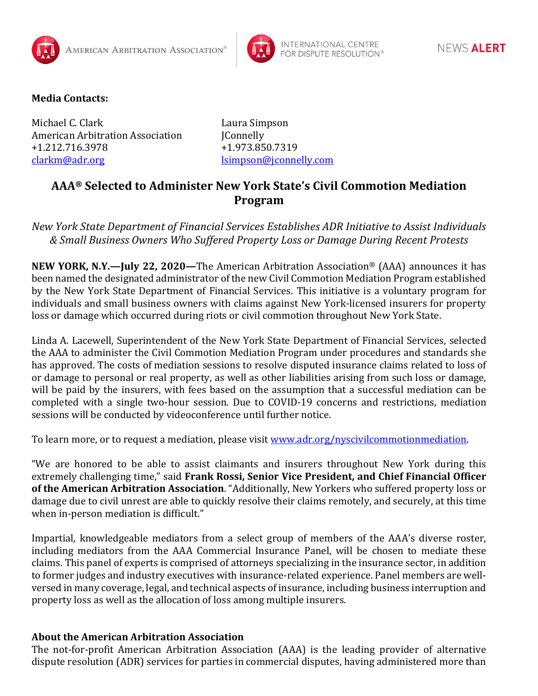



## **Media Contacts:**

Michael C. Clark Laura Simpson American Arbitration Association JConnelly +1.212.716.3978 +1.973.850.7319 [clarkm@adr.org](mailto:clarkm@adr.org) details and later the later of later and later and later and later and later and later and late

## **AAA® Selected to Administer New York State's Civil Commotion Mediation Program**

*New York State Department of Financial Services Establishes ADR Initiative to Assist Individuals & Small Business Owners Who Suffered Property Loss or Damage During Recent Protests*

**NEW YORK, N.Y.—July 22, 2020—**The American Arbitration Association® (AAA) announces it has been named the designated administrator of the new Civil Commotion Mediation Program established by the New York State Department of Financial Services. This initiative is a voluntary program for individuals and small business owners with claims against New York-licensed insurers for property loss or damage which occurred during riots or civil commotion throughout New York State.

Linda A. Lacewell, Superintendent of the New York State Department of Financial Services, selected the AAA to administer the Civil Commotion Mediation Program under procedures and standards she has approved. The costs of mediation sessions to resolve disputed insurance claims related to loss of or damage to personal or real property, as well as other liabilities arising from such loss or damage, will be paid by the insurers, with fees based on the assumption that a successful mediation can be completed with a single two-hour session. Due to COVID-19 concerns and restrictions, mediation sessions will be conducted by videoconference until further notice.

To learn more, or to request a mediation, please visit www.adr.org/nyscivilcommotionmediation.

"We are honored to be able to assist claimants and insurers throughout New York during this extremely challenging time," said **Frank Rossi, Senior Vice President, and Chief Financial Officer of the American Arbitration Association**. "Additionally, New Yorkers who suffered property loss or damage due to civil unrest are able to quickly resolve their claims remotely, and securely, at this time when in-person mediation is difficult."

Impartial, knowledgeable mediators from a select group of members of the AAA's diverse roster, including mediators from the AAA Commercial Insurance Panel, will be chosen to mediate these claims. This panel of experts is comprised of attorneys specializing in the insurance sector, in addition to former judges and industry executives with insurance-related experience. Panel members are wellversed in many coverage, legal, and technical aspects of insurance, including business interruption and property loss as well as the allocation of loss among multiple insurers.

## **About the American Arbitration Association**

The not-for-profit American Arbitration Association (AAA) is the leading provider of alternative dispute resolution (ADR) services for parties in commercial disputes, having administered more than